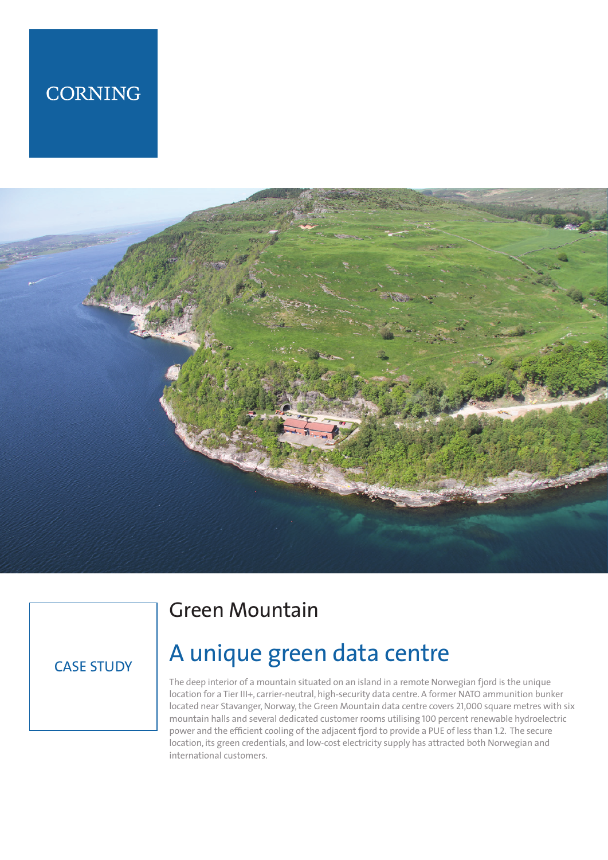## **CORNING**



### CASE STUDY

### Green Mountain

# A unique green data centre

The deep interior of a mountain situated on an island in a remote Norwegian fjord is the unique location for a Tier III+, carrier-neutral, high-security data centre. A former NATO ammunition bunker located near Stavanger, Norway, the Green Mountain data centre covers 21,000 square metres with six mountain halls and several dedicated customer rooms utilising 100 percent renewable hydroelectric power and the efficient cooling of the adjacent fjord to provide a PUE of less than 1.2. The secure location, its green credentials, and low-cost electricity supply has attracted both Norwegian and international customers.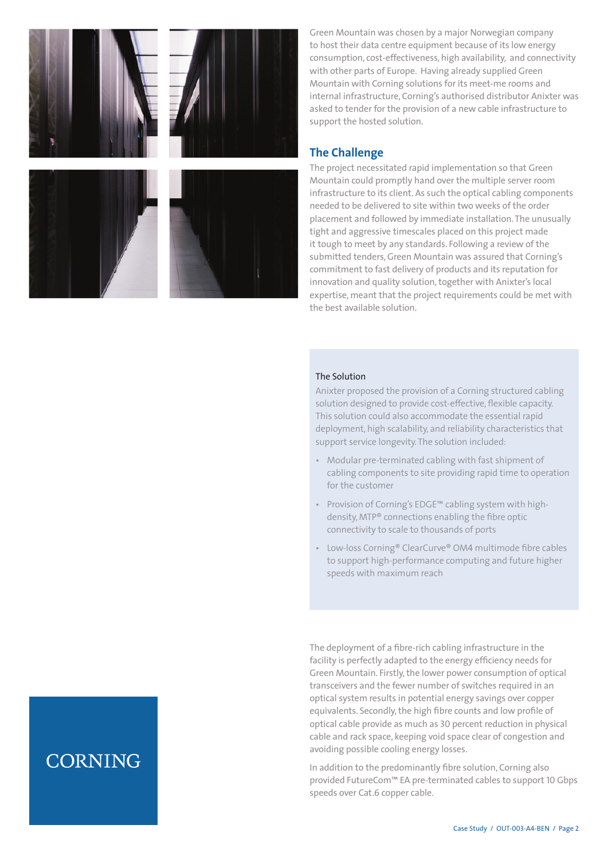

Green Mountain was chosen by a major Norwegian company to host their data centre equipment because of its low energy consumption, cost-effectiveness, high availability, and connectivity with other parts of Europe. Having already supplied Green Mountain with Corning solutions for its meet-me rooms and internal infrastructure, Corning's authorised distributor Anixter was asked to tender for the provision of a new cable infrastructure to support the hosted solution.

### **The Challenge**

The project necessitated rapid implementation so that Green Mountain could promptly hand over the multiple server room infrastructure to its client. As such the optical cabling components needed to be delivered to site within two weeks of the order placement and followed by immediate installation. The unusually tight and aggressive timescales placed on this project made it tough to meet by any standards. Following a review of the submitted tenders, Green Mountain was assured that Corning's commitment to fast delivery of products and its reputation for innovation and quality solution, together with Anixter's local expertise, meant that the project requirements could be met with the best available solution.

#### The Solution

Anixter proposed the provision of a Corning structured cabling solution designed to provide cost-effective, flexible capacity. This solution could also accommodate the essential rapid deployment, high scalability, and reliability characteristics that support service longevity. The solution included:

- Modular pre-terminated cabling with fast shipment of cabling components to site providing rapid time to operation for the customer
- Provision of Corning's EDGE™ cabling system with highdensity, MTP® connections enabling the fibre optic connectivity to scale to thousands of ports
- Low-loss Corning® ClearCurve® OM4 multimode fibre cables to support high-performance computing and future higher speeds with maximum reach

The deployment of a fibre-rich cabling infrastructure in the facility is perfectly adapted to the energy efficiency needs for Green Mountain. Firstly, the lower power consumption of optical transceivers and the fewer number of switches required in an optical system results in potential energy savings over copper equivalents. Secondly, the high fibre counts and low profile of optical cable provide as much as 30 percent reduction in physical cable and rack space, keeping void space clear of congestion and avoiding possible cooling energy losses.

In addition to the predominantly fibre solution, Corning also provided FutureCom™ EA pre-terminated cables to support 10 Gbps speeds over Cat.6 copper cable.

### **CORNING**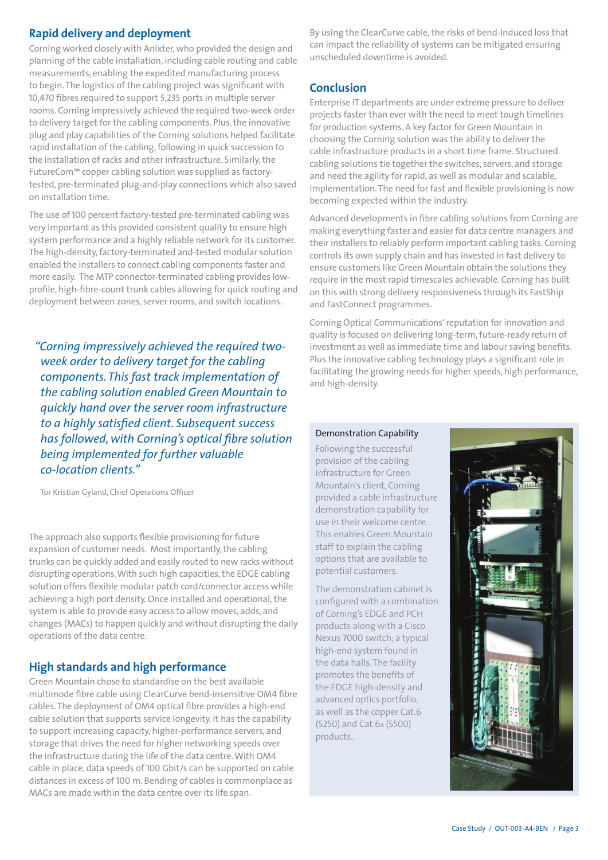### **Rapid delivery and deployment**

Corning worked closely with Anixter, who provided the design and planning of the cable installation, including cable routing and cable measurements, enabling the expedited manufacturing process to begin. The logistics of the cabling project was significant with 10,470 fibres required to support 5,235 ports in multiple server rooms. Corning impressively achieved the required two-week order to delivery target for the cabling components. Plus, the innovative plug and play capabilities of the Corning solutions helped facilitate rapid installation of the cabling, following in quick succession to the installation of racks and other infrastructure. Similarly, the FutureCom™ copper cabling solution was supplied as factorytested, pre-terminated plug-and-play connections which also saved on installation time.

The use of 100 percent factory-tested pre-terminated cabling was very important as this provided consistent quality to ensure high system performance and a highly reliable network for its customer. The high-density, factory-terminated and-tested modular solution enabled the installers to connect cabling components faster and more easily. The MTP connector-terminated cabling provides lowprofile, high-fibre-count trunk cables allowing for quick routing and deployment between zones, server rooms, and switch locations.

*"Corning impressively achieved the required twoweek order to delivery target for the cabling components. This fast track implementation of the cabling solution enabled Green Mountain to quickly hand over the server room infrastructure to a highly satisfied client. Subsequent success has followed, with Corning's optical fibre solution being implemented for further valuable co-location clients."*

Tor Kristian Gyland, Chief Operations Officer

The approach also supports flexible provisioning for future expansion of customer needs. Most importantly, the cabling trunks can be quickly added and easily routed to new racks without disrupting operations. With such high capacities, the EDGE cabling solution offers flexible modular patch cord/connector access while achieving a high port density. Once installed and operational, the system is able to provide easy access to allow moves, adds, and changes (MACs) to happen quickly and without disrupting the daily operations of the data centre.

### **High standards and high performance**

Green Mountain chose to standardise on the best available multimode fibre cable using ClearCurve bend-insensitive OM4 fibre cables. The deployment of OM4 optical fibre provides a high-end cable solution that supports service longevity. It has the capability to support increasing capacity, higher-performance servers, and storage that drives the need for higher networking speeds over the infrastructure during the life of the data centre. With OM4 cable in place, data speeds of 100 Gbit/s can be supported on cable distances in excess of 100 m. Bending of cables is commonplace as MACs are made within the data centre over its life span.

By using the ClearCurve cable, the risks of bend-induced loss that can impact the reliability of systems can be mitigated ensuring unscheduled downtime is avoided.

#### **Conclusion**

Enterprise IT departments are under extreme pressure to deliver projects faster than ever with the need to meet tough timelines for production systems. A key factor for Green Mountain in choosing the Corning solution was the ability to deliver the cable infrastructure products in a short time frame. Structured cabling solutions tie together the switches, servers, and storage and need the agility for rapid, as well as modular and scalable, implementation. The need for fast and flexible provisioning is now becoming expected within the industry.

Advanced developments in fibre cabling solutions from Corning are making everything faster and easier for data centre managers and their installers to reliably perform important cabling tasks. Corning controls its own supply chain and has invested in fast delivery to ensure customers like Green Mountain obtain the solutions they require in the most rapid timescales achievable. Corning has built on this with strong delivery responsiveness through its FastShip and FastConnect programmes.

Corning Optical Communications' reputation for innovation and quality is focused on delivering long-term, future-ready return of investment as well as immediate time and labour saving benefits. Plus the innovative cabling technology plays a significant role in facilitating the growing needs for higher speeds, high performance, and high-density.

#### Demonstration Capability

Following the successful provision of the cabling infrastructure for Green Mountain's client, Corning provided a cable infrastructure demonstration capability for use in their welcome centre. This enables Green Mountain staff to explain the cabling options that are available to potential customers.

The demonstration cabinet is configured with a combination of Corning's EDGE and PCH products along with a Cisco Nexus 7000 switch; a typical high-end system found in the data halls. The facility promotes the benefits of the EDGE high-density and advanced optics portfolio, as well as the copper Cat.6 (S250) and Cat.6A (S500) products..